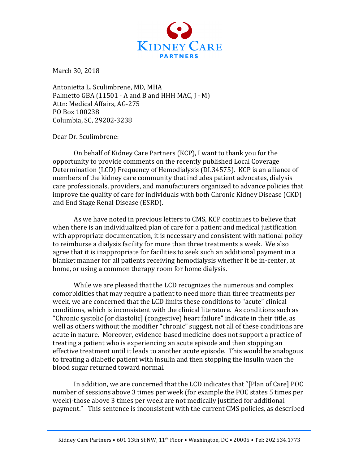

March 30, 2018

Antonietta L. Sculimbrene, MD, MHA Palmetto GBA  $(11501 - A$  and B and HHH MAC,  $I - M$ ) Attn: Medical Affairs, AG-275 PO Box 100238 Columbia, SC, 29202-3238

Dear Dr. Sculimbrene:

On behalf of Kidney Care Partners (KCP), I want to thank you for the opportunity to provide comments on the recently published Local Coverage Determination (LCD) Frequency of Hemodialysis (DL34575). KCP is an alliance of members of the kidney care community that includes patient advocates, dialysis care professionals, providers, and manufacturers organized to advance policies that improve the quality of care for individuals with both Chronic Kidney Disease (CKD) and End Stage Renal Disease (ESRD).

As we have noted in previous letters to CMS, KCP continues to believe that when there is an individualized plan of care for a patient and medical justification with appropriate documentation, it is necessary and consistent with national policy to reimburse a dialysis facility for more than three treatments a week. We also agree that it is inappropriate for facilities to seek such an additional payment in a blanket manner for all patients receiving hemodialysis whether it be in-center, at home, or using a common therapy room for home dialysis.

While we are pleased that the LCD recognizes the numerous and complex comorbidities that may require a patient to need more than three treatments per week, we are concerned that the LCD limits these conditions to "acute" clinical conditions, which is inconsistent with the clinical literature. As conditions such as "Chronic systolic [or diastolic] (congestive) heart failure" indicate in their title, as well as others without the modifier "chronic" suggest, not all of these conditions are acute in nature. Moreover, evidence-based medicine does not support a practice of treating a patient who is experiencing an acute episode and then stopping an effective treatment until it leads to another acute episode. This would be analogous to treating a diabetic patient with insulin and then stopping the insulin when the blood sugar returned toward normal.

In addition, we are concerned that the LCD indicates that "[Plan of Care] POC number of sessions above 3 times per week (for example the POC states 5 times per week)-those above 3 times per week are not medically justified for additional payment." This sentence is inconsistent with the current CMS policies, as described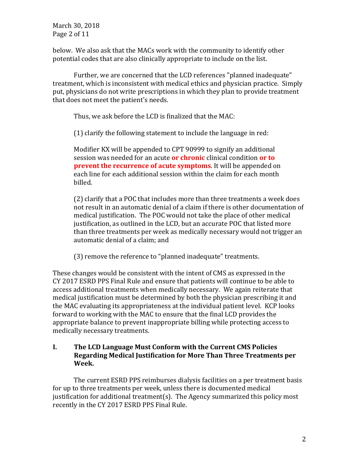March 30, 2018 Page 2 of 11

below. We also ask that the MACs work with the community to identify other potential codes that are also clinically appropriate to include on the list.

Further, we are concerned that the LCD references "planned inadequate" treatment, which is inconsistent with medical ethics and physician practice. Simply put, physicians do not write prescriptions in which they plan to provide treatment that does not meet the patient's needs.

Thus, we ask before the LCD is finalized that the MAC:

 $(1)$  clarify the following statement to include the language in red:

Modifier KX will be appended to CPT 90999 to signify an additional session was needed for an acute **or chronic** clinical condition **or to prevent the recurrence of acute symptoms**. It will be appended on each line for each additional session within the claim for each month billed. 

(2) clarify that a POC that includes more than three treatments a week does not result in an automatic denial of a claim if there is other documentation of medical justification. The POC would not take the place of other medical justification, as outlined in the LCD, but an accurate POC that listed more than three treatments per week as medically necessary would not trigger an automatic denial of a claim; and

(3) remove the reference to "planned inadequate" treatments.

These changes would be consistent with the intent of CMS as expressed in the CY 2017 ESRD PPS Final Rule and ensure that patients will continue to be able to access additional treatments when medically necessary. We again reiterate that medical justification must be determined by both the physician prescribing it and the MAC evaluating its appropriateness at the individual patient level. KCP looks forward to working with the MAC to ensure that the final LCD provides the appropriate balance to prevent inappropriate billing while protecting access to medically necessary treatments.

# **I.** The LCD Language Must Conform with the Current CMS Policies **Regarding Medical Iustification for More Than Three Treatments per Week.**

The current ESRD PPS reimburses dialysis facilities on a per treatment basis for up to three treatments per week, unless there is documented medical justification for additional treatment(s). The Agency summarized this policy most recently in the CY 2017 ESRD PPS Final Rule.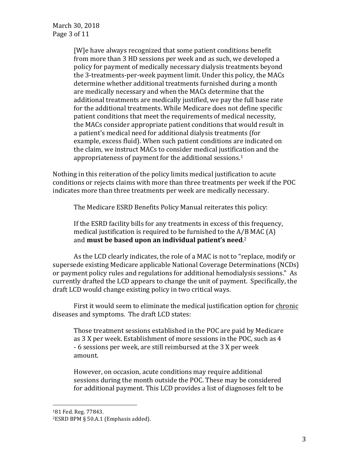[W]e have always recognized that some patient conditions benefit from more than 3 HD sessions per week and as such, we developed a policy for payment of medically necessary dialysis treatments beyond the 3-treatments-per-week payment limit. Under this policy, the MACs determine whether additional treatments furnished during a month are medically necessary and when the MACs determine that the additional treatments are medically justified, we pay the full base rate for the additional treatments. While Medicare does not define specific patient conditions that meet the requirements of medical necessity, the MACs consider appropriate patient conditions that would result in a patient's medical need for additional dialysis treatments (for example, excess fluid). When such patient conditions are indicated on the claim, we instruct MACs to consider medical justification and the appropriateness of payment for the additional sessions.<sup>1</sup>

Nothing in this reiteration of the policy limits medical justification to acute conditions or rejects claims with more than three treatments per week if the POC indicates more than three treatments per week are medically necessary.

The Medicare ESRD Benefits Policy Manual reiterates this policy:

If the ESRD facility bills for any treatments in excess of this frequency, medical justification is required to be furnished to the  $A/B$  MAC  $(A)$ and **must be based upon an individual patient's need.**2

As the LCD clearly indicates, the role of a MAC is not to "replace, modify or supersede existing Medicare applicable National Coverage Determinations (NCDs) or payment policy rules and regulations for additional hemodialysis sessions." As currently drafted the LCD appears to change the unit of payment. Specifically, the draft LCD would change existing policy in two critical ways.

First it would seem to eliminate the medical justification option for chronic diseases and symptoms. The draft LCD states:

Those treatment sessions established in the POC are paid by Medicare as 3 X per week. Establishment of more sessions in the POC, such as 4 - 6 sessions per week, are still reimbursed at the 3 X per week amount. 

However, on occasion, acute conditions may require additional sessions during the month outside the POC. These may be considered for additional payment. This LCD provides a list of diagnoses felt to be

<sup>181</sup> Fed. Reg. 77843.

<sup>&</sup>lt;sup>2</sup>ESRD BPM § 50.A.1 (Emphasis added).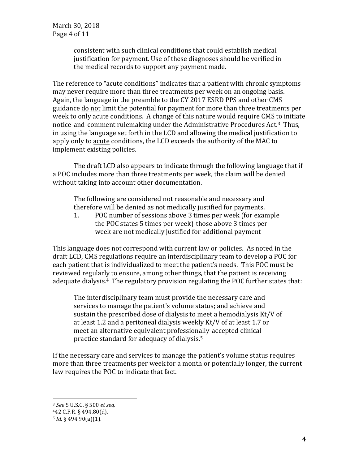March 30, 2018 Page 4 of 11

> consistent with such clinical conditions that could establish medical justification for payment. Use of these diagnoses should be verified in the medical records to support any payment made.

The reference to "acute conditions" indicates that a patient with chronic symptoms may never require more than three treatments per week on an ongoing basis. Again, the language in the preamble to the CY 2017 ESRD PPS and other CMS guidance do not limit the potential for payment for more than three treatments per week to only acute conditions. A change of this nature would require CMS to initiate notice-and-comment rulemaking under the Administrative Procedures Act.<sup>3</sup> Thus, in using the language set forth in the LCD and allowing the medical justification to apply only to acute conditions, the LCD exceeds the authority of the MAC to implement existing policies.

The draft LCD also appears to indicate through the following language that if a POC includes more than three treatments per week, the claim will be denied without taking into account other documentation.

The following are considered not reasonable and necessary and therefore will be denied as not medically justified for payments.

1. POC number of sessions above 3 times per week (for example the POC states 5 times per week)-those above 3 times per week are not medically justified for additional payment

This language does not correspond with current law or policies. As noted in the draft LCD, CMS regulations require an interdisciplinary team to develop a POC for each patient that is individualized to meet the patient's needs. This POC must be reviewed regularly to ensure, among other things, that the patient is receiving adequate dialysis.<sup>4</sup> The regulatory provision regulating the POC further states that:

The interdisciplinary team must provide the necessary care and services to manage the patient's volume status; and achieve and sustain the prescribed dose of dialysis to meet a hemodialysis  $Kt/V$  of at least 1.2 and a peritoneal dialysis weekly Kt/V of at least 1.7 or meet an alternative equivalent professionally-accepted clinical practice standard for adequacy of dialysis.<sup>5</sup>

If the necessary care and services to manage the patient's volume status requires more than three treatments per week for a month or potentially longer, the current law requires the POC to indicate that fact.

<sup>3</sup> *See* 5 U.S.C. § 500 *et seq.*

<sup>442</sup> C.F.R. § 494.80(d). 

<sup>5</sup> *Id.* § 494.90(a)(1).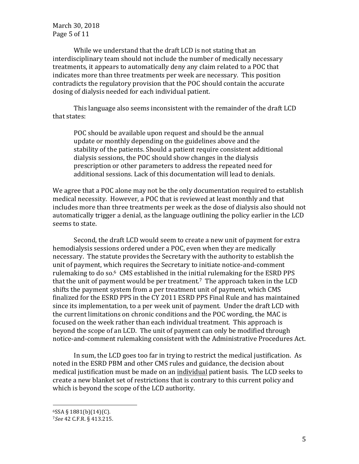March 30, 2018 Page 5 of 11

While we understand that the draft LCD is not stating that an interdisciplinary team should not include the number of medically necessary treatments, it appears to automatically deny any claim related to a POC that indicates more than three treatments per week are necessary. This position contradicts the regulatory provision that the POC should contain the accurate dosing of dialysis needed for each individual patient.

This language also seems inconsistent with the remainder of the draft LCD that states:

POC should be available upon request and should be the annual update or monthly depending on the guidelines above and the stability of the patients. Should a patient require consistent additional dialysis sessions, the POC should show changes in the dialysis prescription or other parameters to address the repeated need for additional sessions. Lack of this documentation will lead to denials.

We agree that a POC alone may not be the only documentation required to establish medical necessity. However, a POC that is reviewed at least monthly and that includes more than three treatments per week as the dose of dialysis also should not automatically trigger a denial, as the language outlining the policy earlier in the LCD seems to state.

Second, the draft LCD would seem to create a new unit of payment for extra hemodialysis sessions ordered under a POC, even when they are medically necessary. The statute provides the Secretary with the authority to establish the unit of payment, which requires the Secretary to initiate notice-and-comment rulemaking to do so. $6 \,$  CMS established in the initial rulemaking for the ESRD PPS that the unit of payment would be per treatment.<sup>7</sup> The approach taken in the LCD shifts the payment system from a per treatment unit of payment, which CMS finalized for the ESRD PPS in the CY 2011 ESRD PPS Final Rule and has maintained since its implementation, to a per week unit of payment. Under the draft LCD with the current limitations on chronic conditions and the POC wording, the MAC is focused on the week rather than each individual treatment. This approach is beyond the scope of an LCD. The unit of payment can only be modified through notice-and-comment rulemaking consistent with the Administrative Procedures Act.

In sum, the LCD goes too far in trying to restrict the medical justification. As noted in the ESRD PBM and other CMS rules and guidance, the decision about medical justification must be made on an individual patient basis. The LCD seeks to create a new blanket set of restrictions that is contrary to this current policy and which is beyond the scope of the LCD authority.

 $6$ SSA § 1881(b)(14)(C).

<sup>7</sup>*See* 42 C.F.R. § 413.215.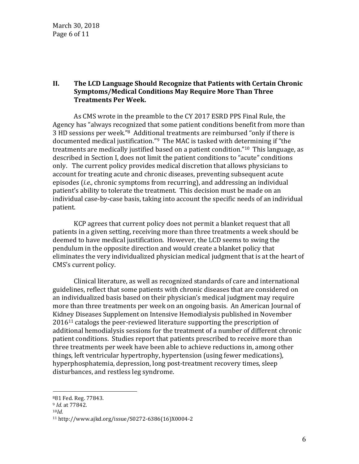## **II.** The LCD Language Should Recognize that Patients with Certain Chronic **Symptoms/Medical Conditions May Require More Than Three Treatments Per Week.**

As CMS wrote in the preamble to the CY 2017 ESRD PPS Final Rule, the Agency has "always recognized that some patient conditions benefit from more than 3 HD sessions per week."<sup>8</sup> Additional treatments are reimbursed "only if there is documented medical justification."<sup>9</sup> The MAC is tasked with determining if "the treatments are medically justified based on a patient condition." $10$  This language, as described in Section I, does not limit the patient conditions to "acute" conditions only. The current policy provides medical discretion that allows physicians to account for treating acute and chronic diseases, preventing subsequent acute episodes (*i.e.*, chronic symptoms from recurring), and addressing an individual patient's ability to tolerate the treatment. This decision must be made on an individual case-by-case basis, taking into account the specific needs of an individual patient. 

KCP agrees that current policy does not permit a blanket request that all patients in a given setting, receiving more than three treatments a week should be deemed to have medical justification. However, the LCD seems to swing the pendulum in the opposite direction and would create a blanket policy that eliminates the very individualized physician medical judgment that is at the heart of CMS's current policy.

Clinical literature, as well as recognized standards of care and international guidelines, reflect that some patients with chronic diseases that are considered on an individualized basis based on their physician's medical judgment may require more than three treatments per week on an ongoing basis. An American Journal of Kidney Diseases Supplement on Intensive Hemodialysis published in November  $2016<sup>11</sup>$  catalogs the peer-reviewed literature supporting the prescription of additional hemodialysis sessions for the treatment of a number of different chronic patient conditions. Studies report that patients prescribed to receive more than three treatments per week have been able to achieve reductions in, among other things, left ventricular hypertrophy, hypertension (using fewer medications), hyperphosphatemia, depression, long post-treatment recovery times, sleep disturbances, and restless leg syndrome.

<sup>881</sup> Fed. Reg. 77843. 

<sup>&</sup>lt;sup>9</sup> *Id.* at 77842.

<sup>10</sup>*Id.*

<sup>11</sup> http://www.ajkd.org/issue/S0272-6386(16)X0004-2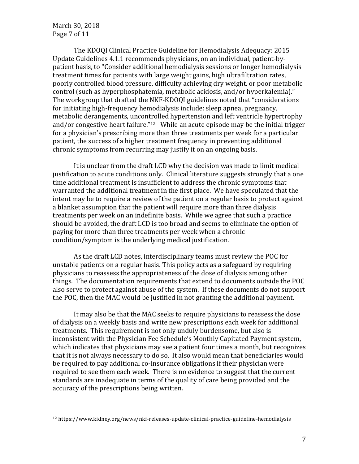March 30, 2018 Page 7 of 11

The KDOQI Clinical Practice Guideline for Hemodialysis Adequacy: 2015 Update Guidelines 4.1.1 recommends physicians, on an individual, patient-bypatient basis, to "Consider additional hemodialysis sessions or longer hemodialysis treatment times for patients with large weight gains, high ultrafiltration rates, poorly controlled blood pressure, difficulty achieving dry weight, or poor metabolic control (such as hyperphosphatemia, metabolic acidosis, and/or hyperkalemia)." The workgroup that drafted the NKF-KDOQI guidelines noted that "considerations" for initiating high-frequency hemodialysis include: sleep apnea, pregnancy, metabolic derangements, uncontrolled hypertension and left ventricle hypertrophy and/or congestive heart failure."<sup>12</sup> While an acute episode may be the initial trigger for a physician's prescribing more than three treatments per week for a particular patient, the success of a higher treatment frequency in preventing additional chronic symptoms from recurring may justify it on an ongoing basis.

It is unclear from the draft LCD why the decision was made to limit medical justification to acute conditions only. Clinical literature suggests strongly that a one time additional treatment is insufficient to address the chronic symptoms that warranted the additional treatment in the first place. We have speculated that the intent may be to require a review of the patient on a regular basis to protect against a blanket assumption that the patient will require more than three dialysis treatments per week on an indefinite basis. While we agree that such a practice should be avoided, the draft LCD is too broad and seems to eliminate the option of paying for more than three treatments per week when a chronic condition/symptom is the underlying medical justification.

As the draft LCD notes, interdisciplinary teams must review the POC for unstable patients on a regular basis. This policy acts as a safeguard by requiring physicians to reassess the appropriateness of the dose of dialysis among other things. The documentation requirements that extend to documents outside the POC also serve to protect against abuse of the system. If these documents do not support the POC, then the MAC would be justified in not granting the additional payment.

It may also be that the MAC seeks to require physicians to reassess the dose of dialysis on a weekly basis and write new prescriptions each week for additional treatments. This requirement is not only unduly burdensome, but also is inconsistent with the Physician Fee Schedule's Monthly Capitated Payment system, which indicates that physicians may see a patient four times a month, but recognizes that it is not always necessary to do so. It also would mean that beneficiaries would be required to pay additional co-insurance obligations if their physician were required to see them each week. There is no evidence to suggest that the current standards are inadequate in terms of the quality of care being provided and the accuracy of the prescriptions being written.

<sup>12</sup> https://www.kidney.org/news/nkf-releases-update-clinical-practice-guideline-hemodialysis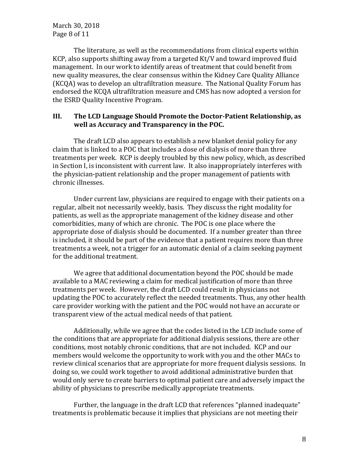March 30, 2018 Page 8 of 11

The literature, as well as the recommendations from clinical experts within KCP, also supports shifting away from a targeted  $Kt/V$  and toward improved fluid management. In our work to identify areas of treatment that could benefit from new quality measures, the clear consensus within the Kidney Care Quality Alliance (KCQA) was to develop an ultrafiltration measure. The National Quality Forum has endorsed the KCQA ultrafiltration measure and CMS has now adopted a version for the ESRD Quality Incentive Program.

## **III.** The LCD Language Should Promote the Doctor-Patient Relationship, as well as Accuracy and Transparency in the POC.

The draft LCD also appears to establish a new blanket denial policy for any claim that is linked to a POC that includes a dose of dialysis of more than three treatments per week. KCP is deeply troubled by this new policy, which, as described in Section I, is inconsistent with current law. It also inappropriately interferes with the physician-patient relationship and the proper management of patients with chronic illnesses.

Under current law, physicians are required to engage with their patients on a regular, albeit not necessarily weekly, basis. They discuss the right modality for patients, as well as the appropriate management of the kidney disease and other comorbidities, many of which are chronic. The POC is one place where the appropriate dose of dialysis should be documented. If a number greater than three is included, it should be part of the evidence that a patient requires more than three treatments a week, not a trigger for an automatic denial of a claim seeking payment for the additional treatment.

We agree that additional documentation beyond the POC should be made available to a MAC reviewing a claim for medical justification of more than three treatments per week. However, the draft LCD could result in physicians not updating the POC to accurately reflect the needed treatments. Thus, any other health care provider working with the patient and the POC would not have an accurate or transparent view of the actual medical needs of that patient.

Additionally, while we agree that the codes listed in the LCD include some of the conditions that are appropriate for additional dialysis sessions, there are other conditions, most notably chronic conditions, that are not included. KCP and our members would welcome the opportunity to work with you and the other MACs to review clinical scenarios that are appropriate for more frequent dialysis sessions. In doing so, we could work together to avoid additional administrative burden that would only serve to create barriers to optimal patient care and adversely impact the ability of physicians to prescribe medically appropriate treatments.

Further, the language in the draft LCD that references "planned inadequate" treatments is problematic because it implies that physicians are not meeting their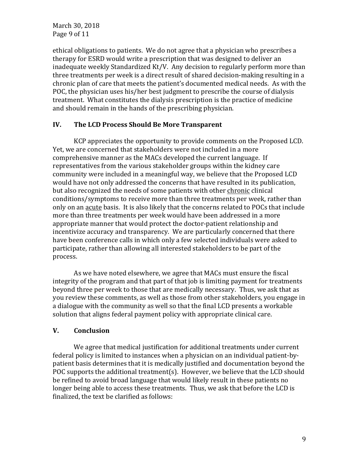March 30, 2018 Page 9 of 11

ethical obligations to patients. We do not agree that a physician who prescribes a therapy for ESRD would write a prescription that was designed to deliver an inadequate weekly Standardized Kt/V. Any decision to regularly perform more than three treatments per week is a direct result of shared decision-making resulting in a chronic plan of care that meets the patient's documented medical needs. As with the POC, the physician uses his/her best judgment to prescribe the course of dialysis treatment. What constitutes the dialysis prescription is the practice of medicine and should remain in the hands of the prescribing physician.

## **IV.** The LCD Process Should Be More Transparent

KCP appreciates the opportunity to provide comments on the Proposed LCD. Yet, we are concerned that stakeholders were not included in a more comprehensive manner as the MACs developed the current language. If representatives from the various stakeholder groups within the kidney care community were included in a meaningful way, we believe that the Proposed LCD would have not only addressed the concerns that have resulted in its publication, but also recognized the needs of some patients with other chronic clinical conditions/symptoms to receive more than three treatments per week, rather than only on an acute basis. It is also likely that the concerns related to POCs that include more than three treatments per week would have been addressed in a more appropriate manner that would protect the doctor-patient relationship and incentivize accuracy and transparency. We are particularly concerned that there have been conference calls in which only a few selected individuals were asked to participate, rather than allowing all interested stakeholders to be part of the process.

As we have noted elsewhere, we agree that MACs must ensure the fiscal integrity of the program and that part of that job is limiting payment for treatments beyond three per week to those that are medically necessary. Thus, we ask that as you review these comments, as well as those from other stakeholders, you engage in a dialogue with the community as well so that the final LCD presents a workable solution that aligns federal payment policy with appropriate clinical care.

#### **V. Conclusion**

We agree that medical justification for additional treatments under current federal policy is limited to instances when a physician on an individual patient-bypatient basis determines that it is medically justified and documentation beyond the POC supports the additional treatment(s). However, we believe that the LCD should be refined to avoid broad language that would likely result in these patients no longer being able to access these treatments. Thus, we ask that before the LCD is finalized, the text be clarified as follows: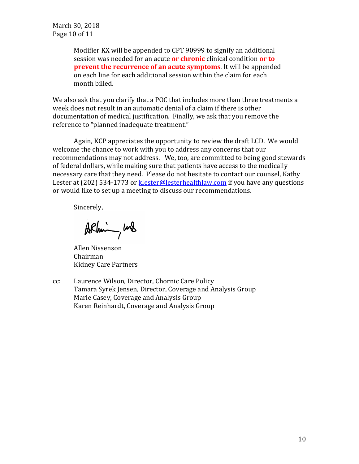March 30, 2018 Page 10 of 11

> Modifier KX will be appended to CPT 90999 to signify an additional session was needed for an acute **or chronic** clinical condition **or to prevent the recurrence of an acute symptoms**. It will be appended on each line for each additional session within the claim for each month billed.

We also ask that you clarify that a POC that includes more than three treatments a week does not result in an automatic denial of a claim if there is other documentation of medical justification. Finally, we ask that you remove the reference to "planned inadequate treatment."

Again, KCP appreciates the opportunity to review the draft LCD. We would welcome the chance to work with you to address any concerns that our recommendations may not address. We, too, are committed to being good stewards of federal dollars, while making sure that patients have access to the medically necessary care that they need. Please do not hesitate to contact our counsel, Kathy Lester at  $(202)$  534-1773 or klester@lesterhealthlaw.com if you have any questions or would like to set up a meeting to discuss our recommendations.

Sincerely,

ARhim, was

**Allen Nissenson** Chairman Kidney Care Partners

cc: Laurence Wilson, Director, Chornic Care Policy Tamara Syrek Jensen, Director, Coverage and Analysis Group Marie Casey, Coverage and Analysis Group Karen Reinhardt, Coverage and Analysis Group